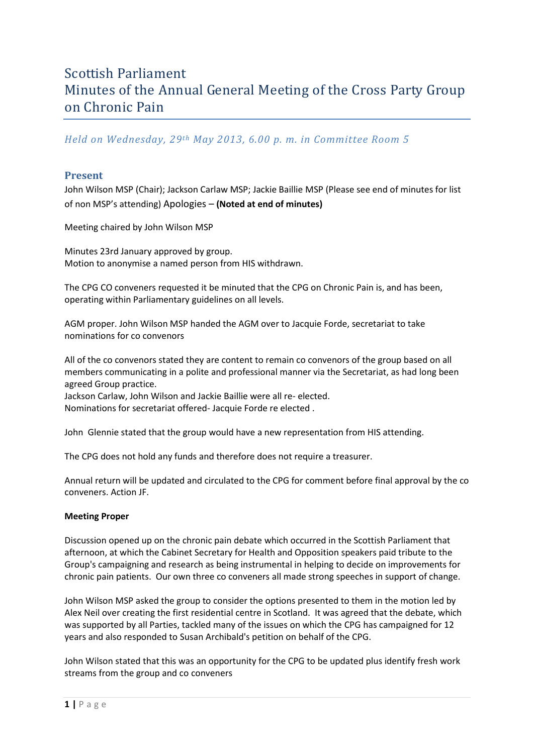# Scottish Parliament Minutes of the Annual General Meeting of the Cross Party Group on Chronic Pain

## *Held on Wednesday, 29th May 2013, 6.00 p. m. in Committee Room 5*

### **Present**

John Wilson MSP (Chair); Jackson Carlaw MSP; Jackie Baillie MSP (Please see end of minutes for list of non MSP's attending) Apologies – **(Noted at end of minutes)**

Meeting chaired by John Wilson MSP

Minutes 23rd January approved by group. Motion to anonymise a named person from HIS withdrawn.

The CPG CO conveners requested it be minuted that the CPG on Chronic Pain is, and has been, operating within Parliamentary guidelines on all levels.

AGM proper. John Wilson MSP handed the AGM over to Jacquie Forde, secretariat to take nominations for co convenors

All of the co convenors stated they are content to remain co convenors of the group based on all members communicating in a polite and professional manner via the Secretariat, as had long been agreed Group practice.

Jackson Carlaw, John Wilson and Jackie Baillie were all re- elected. Nominations for secretariat offered- Jacquie Forde re elected .

John Glennie stated that the group would have a new representation from HIS attending.

The CPG does not hold any funds and therefore does not require a treasurer.

Annual return will be updated and circulated to the CPG for comment before final approval by the co conveners. Action JF.

#### **Meeting Proper**

Discussion opened up on the chronic pain debate which occurred in the Scottish Parliament that afternoon, at which the Cabinet Secretary for Health and Opposition speakers paid tribute to the Group's campaigning and research as being instrumental in helping to decide on improvements for chronic pain patients. Our own three co conveners all made strong speeches in support of change.

John Wilson MSP asked the group to consider the options presented to them in the motion led by Alex Neil over creating the first residential centre in Scotland. It was agreed that the debate, which was supported by all Parties, tackled many of the issues on which the CPG has campaigned for 12 years and also responded to Susan Archibald's petition on behalf of the CPG.

John Wilson stated that this was an opportunity for the CPG to be updated plus identify fresh work streams from the group and co conveners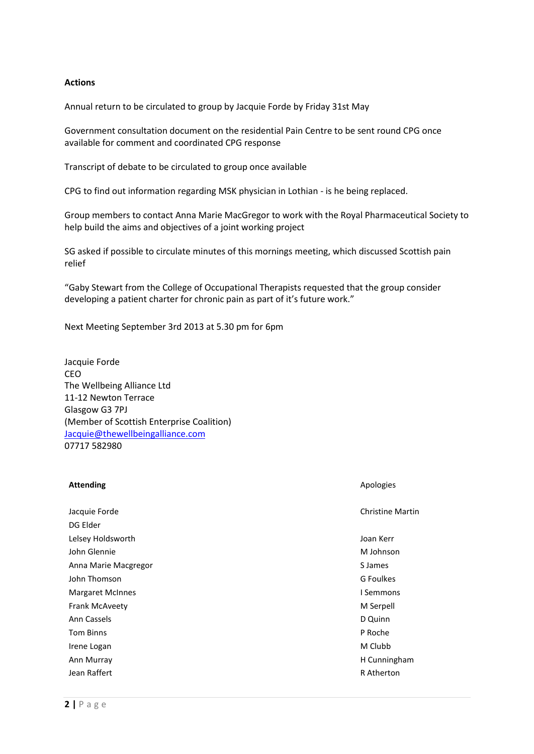#### **Actions**

Annual return to be circulated to group by Jacquie Forde by Friday 31st May

Government consultation document on the residential Pain Centre to be sent round CPG once available for comment and coordinated CPG response

Transcript of debate to be circulated to group once available

CPG to find out information regarding MSK physician in Lothian - is he being replaced.

Group members to contact Anna Marie MacGregor to work with the Royal Pharmaceutical Society to help build the aims and objectives of a joint working project

SG asked if possible to circulate minutes of this mornings meeting, which discussed Scottish pain relief

"Gaby Stewart from the College of Occupational Therapists requested that the group consider developing a patient charter for chronic pain as part of it's future work."

Next Meeting September 3rd 2013 at 5.30 pm for 6pm

Jacquie Forde CEO The Wellbeing Alliance Ltd 11-12 Newton Terrace Glasgow G3 7PJ (Member of Scottish Enterprise Coalition) [Jacquie@thewellbeingalliance.com](mailto:Jacquie@thewellbeingalliance.com) 07717 582980

#### **Attending** Apologies **Apologies** Apologies **Apologies** Apologies **Apologies** Apologies

| Jacquie Forde           | Christine        |
|-------------------------|------------------|
| DG Elder                |                  |
| Lelsey Holdsworth       | Joan Kerr        |
| John Glennie            | M Johnso         |
| Anna Marie Macgregor    | S James          |
| John Thomson            | <b>G</b> Foulkes |
| <b>Margaret McInnes</b> | I Semmon         |
| Frank McAveety          | M Serpell        |
| Ann Cassels             | D Quinn          |
| <b>Tom Binns</b>        | P Roche          |
| Irene Logan             | M Clubb          |
| Ann Murray              | H Cunning        |
|                         |                  |

Christine Martin

M Johnson I Semmons H Cunningham Jean Raffert R Atherton